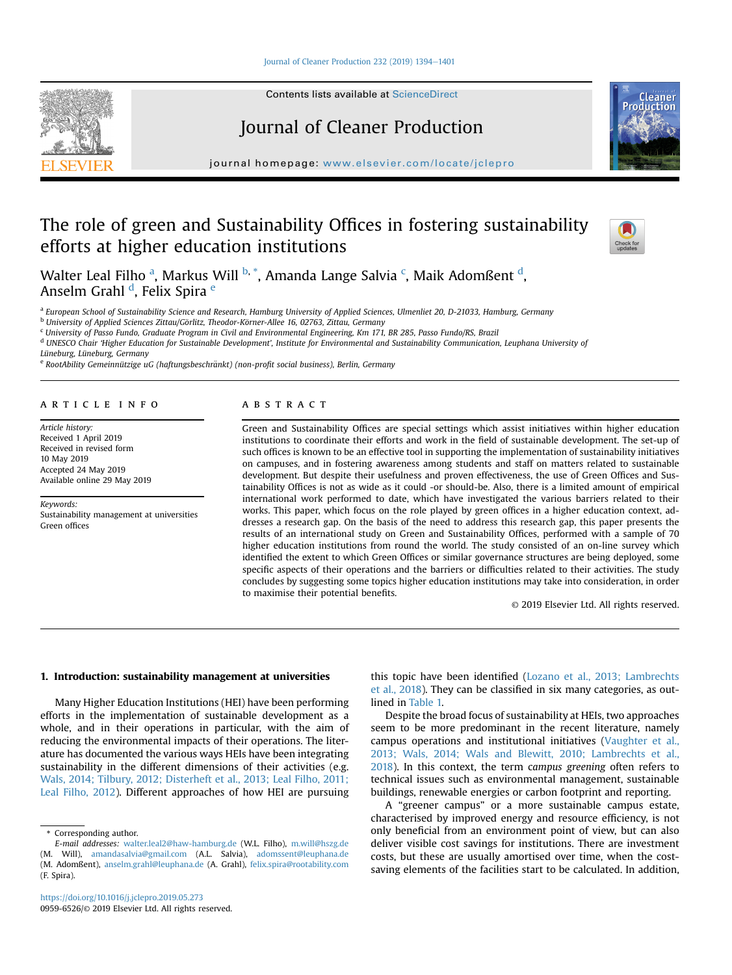## [Journal of Cleaner Production 232 \(2019\) 1394](https://doi.org/10.1016/j.jclepro.2019.05.273)-[1401](https://doi.org/10.1016/j.jclepro.2019.05.273)



# Journal of Cleaner Production

journal homepage: [www.elsevier.com/locate/jclepro](http://www.elsevier.com/locate/jclepro)

# The role of green and Sustainability Offices in fostering sustainability efforts at higher education institutions



Cleane Productio

Walter Leal Filho <sup>a</sup>, Markus Will <sup>b,</sup> \*, Amanda Lange Salvia <sup>c</sup>, Maik Adomßent <sup>d</sup>, Anselm Grahl <sup>d</sup>, Felix Spira <sup>e</sup>

a European School of Sustainability Science and Research, Hamburg University of Applied Sciences, Ulmenliet 20, D-21033, Hamburg, Germany

b University of Applied Sciences Zittau/Görlitz, Theodor-Körner-Allee 16, 02763, Zittau, Germany

<sup>c</sup> University of Passo Fundo, Graduate Program in Civil and Environmental Engineering, Km 171, BR 285, Passo Fundo/RS, Brazil

<sup>d</sup> UNESCO Chair 'Higher Education for Sustainable Development', Institute for Environmental and Sustainability Communication, Leuphana University of

Lüneburg, Lüneburg, Germany

<sup>e</sup> RootAbility Gemeinnützige uG (haftungsbeschränkt) (non-profit social business), Berlin, Germany

#### article info

Article history: Received 1 April 2019 Received in revised form 10 May 2019 Accepted 24 May 2019 Available online 29 May 2019

Keywords: Sustainability management at universities Green offices

# **ABSTRACT**

Green and Sustainability Offices are special settings which assist initiatives within higher education institutions to coordinate their efforts and work in the field of sustainable development. The set-up of such offices is known to be an effective tool in supporting the implementation of sustainability initiatives on campuses, and in fostering awareness among students and staff on matters related to sustainable development. But despite their usefulness and proven effectiveness, the use of Green Offices and Sustainability Offices is not as wide as it could -or should-be. Also, there is a limited amount of empirical international work performed to date, which have investigated the various barriers related to their works. This paper, which focus on the role played by green offices in a higher education context, addresses a research gap. On the basis of the need to address this research gap, this paper presents the results of an international study on Green and Sustainability Offices, performed with a sample of 70 higher education institutions from round the world. The study consisted of an on-line survey which identified the extent to which Green Offices or similar governance structures are being deployed, some specific aspects of their operations and the barriers or difficulties related to their activities. The study concludes by suggesting some topics higher education institutions may take into consideration, in order to maximise their potential benefits.

© 2019 Elsevier Ltd. All rights reserved.

# 1. Introduction: sustainability management at universities

Many Higher Education Institutions (HEI) have been performing efforts in the implementation of sustainable development as a whole, and in their operations in particular, with the aim of reducing the environmental impacts of their operations. The literature has documented the various ways HEIs have been integrating sustainability in the different dimensions of their activities (e.g. [Wals, 2014; Tilbury, 2012; Disterheft et al., 2013; Leal Filho, 2011;](#page-7-0) [Leal Filho, 2012](#page-7-0)). Different approaches of how HEI are pursuing this topic have been identified ([Lozano et al., 2013; Lambrechts](#page-7-0) [et al., 2018](#page-7-0)). They can be classified in six many categories, as outlined in [Table 1.](#page-1-0)

Despite the broad focus of sustainability at HEIs, two approaches seem to be more predominant in the recent literature, namely campus operations and institutional initiatives [\(Vaughter et al.,](#page-7-0) [2013; Wals, 2014; Wals and Blewitt, 2010; Lambrechts et al.,](#page-7-0) [2018\)](#page-7-0). In this context, the term campus greening often refers to technical issues such as environmental management, sustainable buildings, renewable energies or carbon footprint and reporting.

A "greener campus" or a more sustainable campus estate, characterised by improved energy and resource efficiency, is not only beneficial from an environment point of view, but can also deliver visible cost savings for institutions. There are investment costs, but these are usually amortised over time, when the costsaving elements of the facilities start to be calculated. In addition,



<sup>\*</sup> Corresponding author.

E-mail addresses: [walter.leal2@haw-hamburg.de](mailto:walter.leal2@haw-hamburg.de) (W.L. Filho), [m.will@hszg.de](mailto:m.will@hszg.de) (M. Will), [amandasalvia@gmail.com](mailto:amandasalvia@gmail.com) (A.L. Salvia), [adomssent@leuphana.de](mailto:adomssent@leuphana.de) (M. Adomßent), [anselm.grahl@leuphana.de](mailto:anselm.grahl@leuphana.de) (A. Grahl), [felix.spira@rootability.com](mailto:felix.spira@rootability.com) (F. Spira).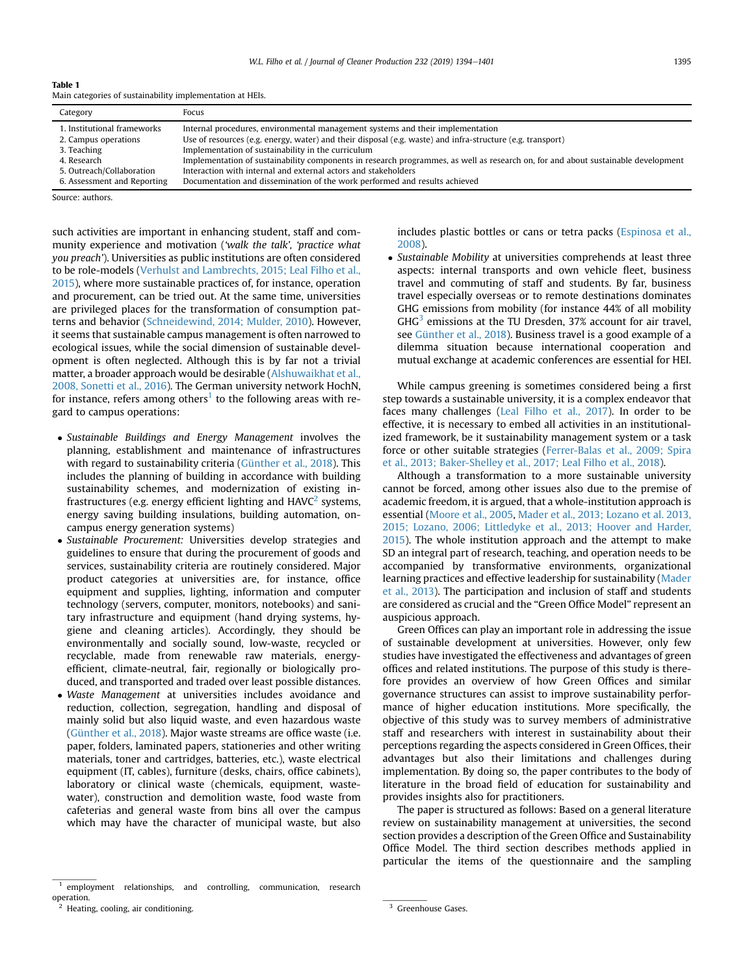<span id="page-1-0"></span>

| Table 1                                                   |
|-----------------------------------------------------------|
| Main categories of sustainability implementation at HEIs. |

| Category                    | Focus                                                                                                                             |
|-----------------------------|-----------------------------------------------------------------------------------------------------------------------------------|
| 1. Institutional frameworks | Internal procedures, environmental management systems and their implementation                                                    |
| 2. Campus operations        | Use of resources (e.g. energy, water) and their disposal (e.g. waste) and infra-structure (e.g. transport)                        |
| 3. Teaching                 | Implementation of sustainability in the curriculum                                                                                |
| 4. Research                 | Implementation of sustainability components in research programmes, as well as research on, for and about sustainable development |
| 5. Outreach/Collaboration   | Interaction with internal and external actors and stakeholders                                                                    |
| 6. Assessment and Reporting | Documentation and dissemination of the work performed and results achieved                                                        |
|                             |                                                                                                                                   |

Source: authors.

such activities are important in enhancing student, staff and community experience and motivation ('walk the talk', 'practice what you preach'). Universities as public institutions are often considered to be role-models [\(Verhulst and Lambrechts, 2015; Leal Filho et al.,](#page-7-0) [2015\)](#page-7-0), where more sustainable practices of, for instance, operation and procurement, can be tried out. At the same time, universities are privileged places for the transformation of consumption patterns and behavior [\(Schneidewind, 2014; Mulder, 2010\)](#page-7-0). However, it seems that sustainable campus management is often narrowed to ecological issues, while the social dimension of sustainable development is often neglected. Although this is by far not a trivial matter, a broader approach would be desirable ([Alshuwaikhat et al.,](#page-7-0) [2008, Sonetti et al., 2016\)](#page-7-0). The German university network HochN, for instance, refers among others<sup>1</sup> to the following areas with regard to campus operations:

- Sustainable Buildings and Energy Management involves the planning, establishment and maintenance of infrastructures with regard to sustainability criteria [\(Günther et al., 2018\)](#page-7-0). This includes the planning of building in accordance with building sustainability schemes, and modernization of existing infrastructures (e.g. energy efficient lighting and  $HAVC<sup>2</sup>$  systems, energy saving building insulations, building automation, oncampus energy generation systems)
- Sustainable Procurement: Universities develop strategies and guidelines to ensure that during the procurement of goods and services, sustainability criteria are routinely considered. Major product categories at universities are, for instance, office equipment and supplies, lighting, information and computer technology (servers, computer, monitors, notebooks) and sanitary infrastructure and equipment (hand drying systems, hygiene and cleaning articles). Accordingly, they should be environmentally and socially sound, low-waste, recycled or recyclable, made from renewable raw materials, energyefficient, climate-neutral, fair, regionally or biologically produced, and transported and traded over least possible distances.
- Waste Management at universities includes avoidance and reduction, collection, segregation, handling and disposal of mainly solid but also liquid waste, and even hazardous waste [\(Günther et al., 2018](#page-7-0)). Major waste streams are office waste (i.e. paper, folders, laminated papers, stationeries and other writing materials, toner and cartridges, batteries, etc.), waste electrical equipment (IT, cables), furniture (desks, chairs, office cabinets), laboratory or clinical waste (chemicals, equipment, wastewater), construction and demolition waste, food waste from cafeterias and general waste from bins all over the campus which may have the character of municipal waste, but also

includes plastic bottles or cans or tetra packs [\(Espinosa et al.,](#page-7-0) [2008\)](#page-7-0).

• Sustainable Mobility at universities comprehends at least three aspects: internal transports and own vehicle fleet, business travel and commuting of staff and students. By far, business travel especially overseas or to remote destinations dominates GHG emissions from mobility (for instance 44% of all mobility  $GHG<sup>3</sup>$  emissions at the TU Dresden, 37% account for air travel, see [Günther et al., 2018](#page-7-0)). Business travel is a good example of a dilemma situation because international cooperation and mutual exchange at academic conferences are essential for HEI.

While campus greening is sometimes considered being a first step towards a sustainable university, it is a complex endeavor that faces many challenges [\(Leal Filho et al., 2017\)](#page-7-0). In order to be effective, it is necessary to embed all activities in an institutionalized framework, be it sustainability management system or a task force or other suitable strategies ([Ferrer-Balas et al., 2009; Spira](#page-7-0) [et al., 2013; Baker-Shelley et al., 2017; Leal Filho et al., 2018\)](#page-7-0).

Although a transformation to a more sustainable university cannot be forced, among other issues also due to the premise of academic freedom, it is argued, that a whole-institution approach is essential ([Moore et al., 2005,](#page-7-0) [Mader et al., 2013; Lozano et al. 2013,](#page-7-0) [2015; Lozano, 2006; Littledyke et al., 2013; Hoover and Harder,](#page-7-0) [2015\)](#page-7-0). The whole institution approach and the attempt to make SD an integral part of research, teaching, and operation needs to be accompanied by transformative environments, organizational learning practices and effective leadership for sustainability [\(Mader](#page-7-0) [et al., 2013](#page-7-0)). The participation and inclusion of staff and students are considered as crucial and the "Green Office Model" represent an auspicious approach.

Green Offices can play an important role in addressing the issue of sustainable development at universities. However, only few studies have investigated the effectiveness and advantages of green offices and related institutions. The purpose of this study is therefore provides an overview of how Green Offices and similar governance structures can assist to improve sustainability performance of higher education institutions. More specifically, the objective of this study was to survey members of administrative staff and researchers with interest in sustainability about their perceptions regarding the aspects considered in Green Offices, their advantages but also their limitations and challenges during implementation. By doing so, the paper contributes to the body of literature in the broad field of education for sustainability and provides insights also for practitioners.

The paper is structured as follows: Based on a general literature review on sustainability management at universities, the second section provides a description of the Green Office and Sustainability Office Model. The third section describes methods applied in particular the items of the questionnaire and the sampling

employment relationships, and controlling, communication, research operation.

Example 3 Greenhouse Gases. The air conditioning. The state of  $3\,$  Greenhouse Gases.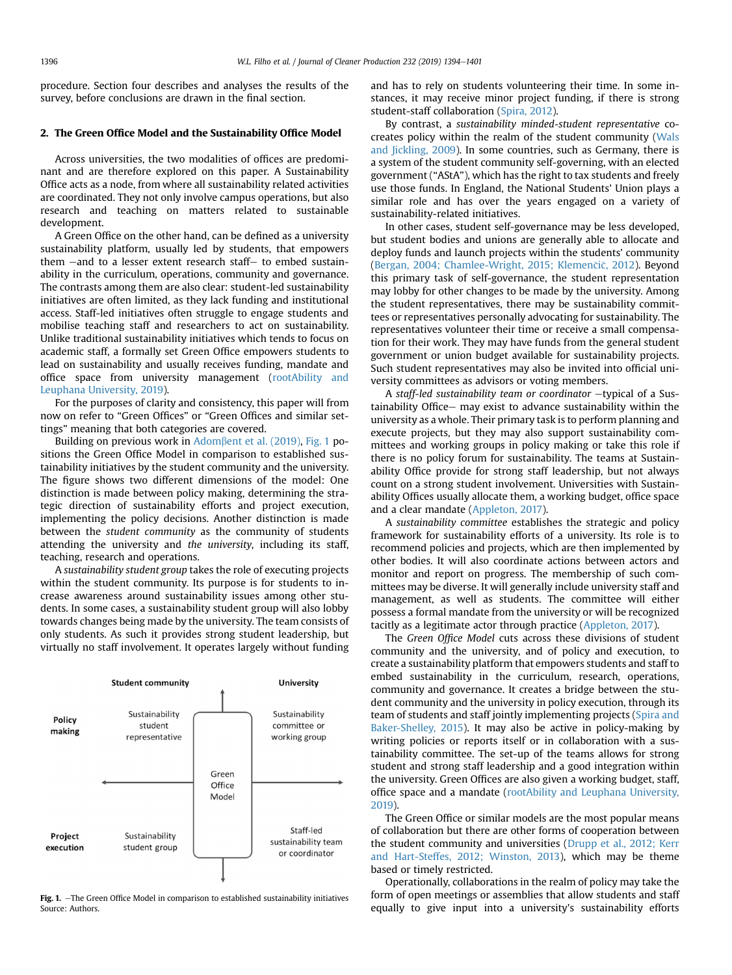procedure. Section four describes and analyses the results of the survey, before conclusions are drawn in the final section.

#### 2. The Green Office Model and the Sustainability Office Model

Across universities, the two modalities of offices are predominant and are therefore explored on this paper. A Sustainability Office acts as a node, from where all sustainability related activities are coordinated. They not only involve campus operations, but also research and teaching on matters related to sustainable development.

A Green Office on the other hand, can be defined as a university sustainability platform, usually led by students, that empowers them  $-$ and to a lesser extent research staff $-$  to embed sustainability in the curriculum, operations, community and governance. The contrasts among them are also clear: student-led sustainability initiatives are often limited, as they lack funding and institutional access. Staff-led initiatives often struggle to engage students and mobilise teaching staff and researchers to act on sustainability. Unlike traditional sustainability initiatives which tends to focus on academic staff, a formally set Green Office empowers students to lead on sustainability and usually receives funding, mandate and office space from university management ([rootAbility and](#page-7-0) [Leuphana University, 2019\)](#page-7-0).

For the purposes of clarity and consistency, this paper will from now on refer to "Green Offices" or "Green Offices and similar settings" meaning that both categories are covered.

Building on previous work in Adom<sub>bent et al. (2019)</sub>, Fig. 1 positions the Green Office Model in comparison to established sustainability initiatives by the student community and the university. The figure shows two different dimensions of the model: One distinction is made between policy making, determining the strategic direction of sustainability efforts and project execution, implementing the policy decisions. Another distinction is made between the student community as the community of students attending the university and the university, including its staff, teaching, research and operations.

A sustainability student group takes the role of executing projects within the student community. Its purpose is for students to increase awareness around sustainability issues among other students. In some cases, a sustainability student group will also lobby towards changes being made by the university. The team consists of only students. As such it provides strong student leadership, but virtually no staff involvement. It operates largely without funding



Fig. 1. - The Green Office Model in comparison to established sustainability initiatives Source: Authors.

and has to rely on students volunteering their time. In some instances, it may receive minor project funding, if there is strong student-staff collaboration ([Spira, 2012\)](#page-7-0).

By contrast, a sustainability minded-student representative cocreates policy within the realm of the student community [\(Wals](#page-7-0) [and Jickling, 2009\)](#page-7-0). In some countries, such as Germany, there is a system of the student community self-governing, with an elected government ("AStA"), which has the right to tax students and freely use those funds. In England, the National Students' Union plays a similar role and has over the years engaged on a variety of sustainability-related initiatives.

In other cases, student self-governance may be less developed, but student bodies and unions are generally able to allocate and deploy funds and launch projects within the students' community ([Bergan, 2004; Chamlee-Wright, 2015; Klemen](#page-7-0)č[i](#page-7-0)č, 2012). Beyond this primary task of self-governance, the student representation may lobby for other changes to be made by the university. Among the student representatives, there may be sustainability committees or representatives personally advocating for sustainability. The representatives volunteer their time or receive a small compensation for their work. They may have funds from the general student government or union budget available for sustainability projects. Such student representatives may also be invited into official university committees as advisors or voting members.

A staff-led sustainability team or coordinator  $-$ typical of a Sustainability Office- may exist to advance sustainability within the university as a whole. Their primary task is to perform planning and execute projects, but they may also support sustainability committees and working groups in policy making or take this role if there is no policy forum for sustainability. The teams at Sustainability Office provide for strong staff leadership, but not always count on a strong student involvement. Universities with Sustainability Offices usually allocate them, a working budget, office space and a clear mandate ([Appleton, 2017](#page-7-0)).

A sustainability committee establishes the strategic and policy framework for sustainability efforts of a university. Its role is to recommend policies and projects, which are then implemented by other bodies. It will also coordinate actions between actors and monitor and report on progress. The membership of such committees may be diverse. It will generally include university staff and management, as well as students. The committee will either possess a formal mandate from the university or will be recognized tacitly as a legitimate actor through practice ([Appleton, 2017\)](#page-7-0).

The Green Office Model cuts across these divisions of student community and the university, and of policy and execution, to create a sustainability platform that empowers students and staff to embed sustainability in the curriculum, research, operations, community and governance. It creates a bridge between the student community and the university in policy execution, through its team of students and staff jointly implementing projects ([Spira and](#page-7-0) [Baker-Shelley, 2015](#page-7-0)). It may also be active in policy-making by writing policies or reports itself or in collaboration with a sustainability committee. The set-up of the teams allows for strong student and strong staff leadership and a good integration within the university. Green Offices are also given a working budget, staff, office space and a mandate ([rootAbility and Leuphana University,](#page-7-0) [2019\)](#page-7-0).

The Green Office or similar models are the most popular means of collaboration but there are other forms of cooperation between the student community and universities ([Drupp et al., 2012; Kerr](#page-7-0) [and Hart-Steffes, 2012; Winston, 2013\)](#page-7-0), which may be theme based or timely restricted.

Operationally, collaborations in the realm of policy may take the form of open meetings or assemblies that allow students and staff equally to give input into a university's sustainability efforts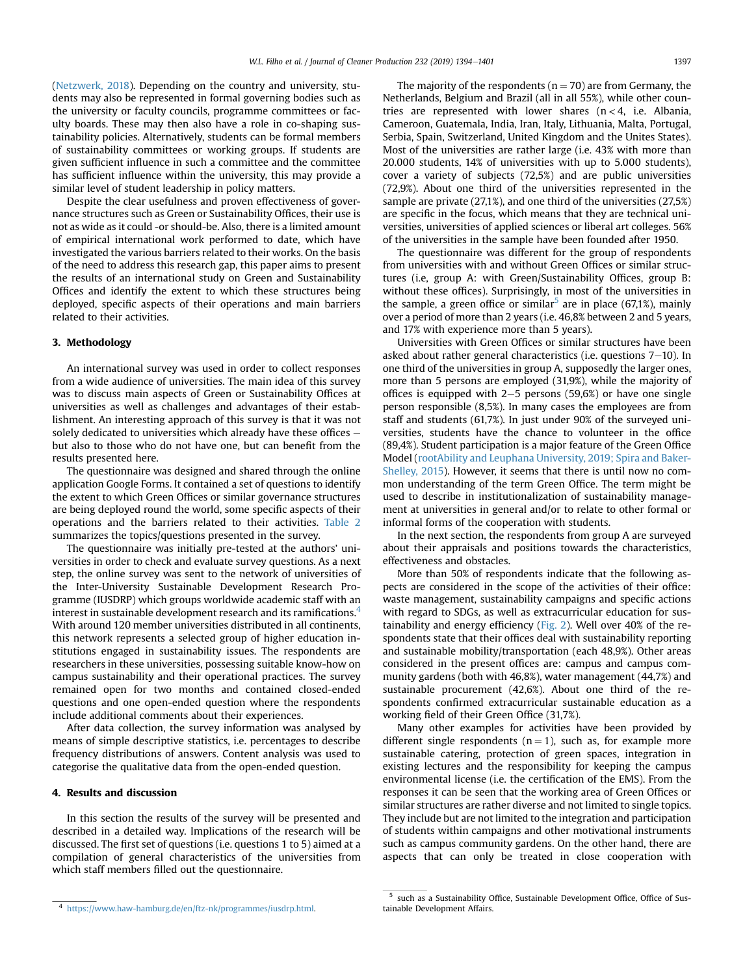([Netzwerk, 2018](#page-7-0)). Depending on the country and university, students may also be represented in formal governing bodies such as the university or faculty councils, programme committees or faculty boards. These may then also have a role in co-shaping sustainability policies. Alternatively, students can be formal members of sustainability committees or working groups. If students are given sufficient influence in such a committee and the committee has sufficient influence within the university, this may provide a similar level of student leadership in policy matters.

Despite the clear usefulness and proven effectiveness of governance structures such as Green or Sustainability Offices, their use is not as wide as it could -or should-be. Also, there is a limited amount of empirical international work performed to date, which have investigated the various barriers related to their works. On the basis of the need to address this research gap, this paper aims to present the results of an international study on Green and Sustainability Offices and identify the extent to which these structures being deployed, specific aspects of their operations and main barriers related to their activities.

#### 3. Methodology

An international survey was used in order to collect responses from a wide audience of universities. The main idea of this survey was to discuss main aspects of Green or Sustainability Offices at universities as well as challenges and advantages of their establishment. An interesting approach of this survey is that it was not solely dedicated to universities which already have these offices  $$ but also to those who do not have one, but can benefit from the results presented here.

The questionnaire was designed and shared through the online application Google Forms. It contained a set of questions to identify the extent to which Green Offices or similar governance structures are being deployed round the world, some specific aspects of their operations and the barriers related to their activities. [Table 2](#page-4-0) summarizes the topics/questions presented in the survey.

The questionnaire was initially pre-tested at the authors' universities in order to check and evaluate survey questions. As a next step, the online survey was sent to the network of universities of the Inter-University Sustainable Development Research Programme (IUSDRP) which groups worldwide academic staff with an interest in sustainable development research and its ramifications.<sup>4</sup> With around 120 member universities distributed in all continents, this network represents a selected group of higher education institutions engaged in sustainability issues. The respondents are researchers in these universities, possessing suitable know-how on campus sustainability and their operational practices. The survey remained open for two months and contained closed-ended questions and one open-ended question where the respondents include additional comments about their experiences.

After data collection, the survey information was analysed by means of simple descriptive statistics, i.e. percentages to describe frequency distributions of answers. Content analysis was used to categorise the qualitative data from the open-ended question.

### 4. Results and discussion

In this section the results of the survey will be presented and described in a detailed way. Implications of the research will be discussed. The first set of questions (i.e. questions 1 to 5) aimed at a compilation of general characteristics of the universities from which staff members filled out the questionnaire.

The majority of the respondents ( $n = 70$ ) are from Germany, the Netherlands, Belgium and Brazil (all in all 55%), while other countries are represented with lower shares (n < 4, i.e. Albania, Cameroon, Guatemala, India, Iran, Italy, Lithuania, Malta, Portugal, Serbia, Spain, Switzerland, United Kingdom and the Unites States). Most of the universities are rather large (i.e. 43% with more than 20.000 students, 14% of universities with up to 5.000 students), cover a variety of subjects (72,5%) and are public universities (72,9%). About one third of the universities represented in the sample are private (27,1%), and one third of the universities (27,5%) are specific in the focus, which means that they are technical universities, universities of applied sciences or liberal art colleges. 56% of the universities in the sample have been founded after 1950.

The questionnaire was different for the group of respondents from universities with and without Green Offices or similar structures (i.e, group A: with Green/Sustainability Offices, group B: without these offices). Surprisingly, in most of the universities in the sample, a green office or similar<sup>5</sup> are in place (67,1%), mainly over a period of more than 2 years (i.e. 46,8% between 2 and 5 years, and 17% with experience more than 5 years).

Universities with Green Offices or similar structures have been asked about rather general characteristics (i.e. questions  $7-10$ ). In one third of the universities in group A, supposedly the larger ones, more than 5 persons are employed (31,9%), while the majority of offices is equipped with  $2-5$  persons (59,6%) or have one single person responsible (8,5%). In many cases the employees are from staff and students (61,7%). In just under 90% of the surveyed universities, students have the chance to volunteer in the office (89,4%). Student participation is a major feature of the Green Office Model [\(rootAbility and Leuphana University, 2019; Spira and Baker-](#page-7-0)[Shelley, 2015](#page-7-0)). However, it seems that there is until now no common understanding of the term Green Office. The term might be used to describe in institutionalization of sustainability management at universities in general and/or to relate to other formal or informal forms of the cooperation with students.

In the next section, the respondents from group A are surveyed about their appraisals and positions towards the characteristics, effectiveness and obstacles.

More than 50% of respondents indicate that the following aspects are considered in the scope of the activities of their office: waste management, sustainability campaigns and specific actions with regard to SDGs, as well as extracurricular education for sustainability and energy efficiency [\(Fig. 2\)](#page-4-0). Well over 40% of the respondents state that their offices deal with sustainability reporting and sustainable mobility/transportation (each 48,9%). Other areas considered in the present offices are: campus and campus community gardens (both with 46,8%), water management (44,7%) and sustainable procurement (42,6%). About one third of the respondents confirmed extracurricular sustainable education as a working field of their Green Office (31,7%).

Many other examples for activities have been provided by different single respondents ( $n = 1$ ), such as, for example more sustainable catering, protection of green spaces, integration in existing lectures and the responsibility for keeping the campus environmental license (i.e. the certification of the EMS). From the responses it can be seen that the working area of Green Offices or similar structures are rather diverse and not limited to single topics. They include but are not limited to the integration and participation of students within campaigns and other motivational instruments such as campus community gardens. On the other hand, there are aspects that can only be treated in close cooperation with

<sup>4</sup> [https://www.haw-hamburg.de/en/ftz-nk/programmes/iusdrp.html.](https://www.haw-hamburg.de/en/ftz-nk/programmes/iusdrp.html)

<sup>5</sup> such as a Sustainability Office, Sustainable Development Office, Office of Sustainable Development Affairs.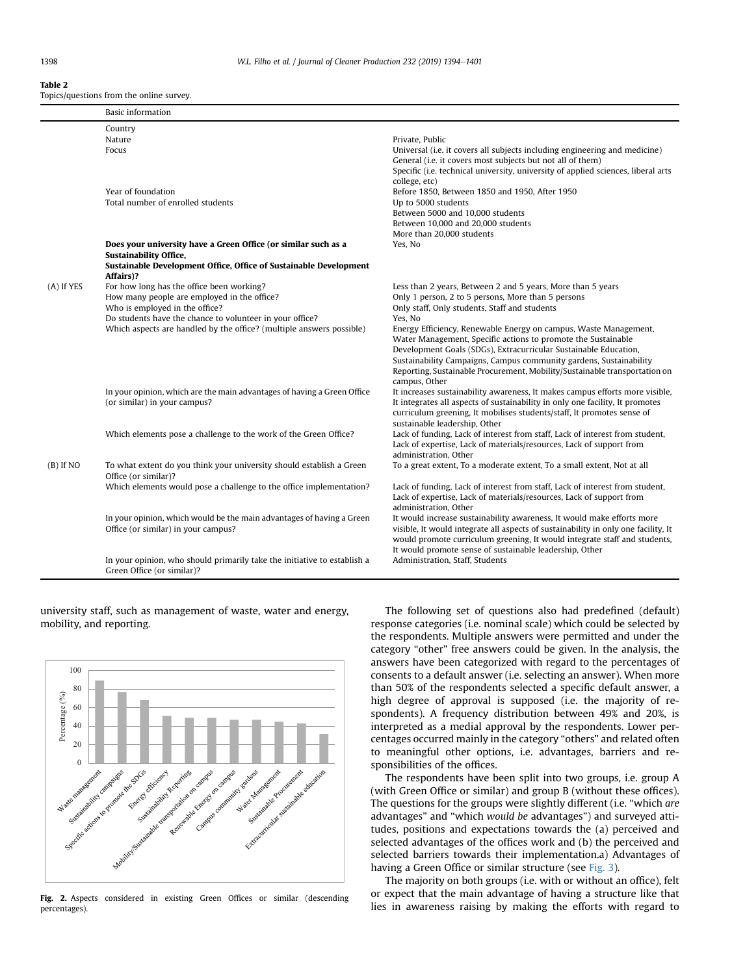<span id="page-4-0"></span>Table 2 Topics/questions from the online survey.

|             | <b>Basic information</b>                                                                                     |                                                                                                                                                                                                                                                                                                                                                           |
|-------------|--------------------------------------------------------------------------------------------------------------|-----------------------------------------------------------------------------------------------------------------------------------------------------------------------------------------------------------------------------------------------------------------------------------------------------------------------------------------------------------|
|             | Country                                                                                                      |                                                                                                                                                                                                                                                                                                                                                           |
|             | Nature                                                                                                       | Private, Public                                                                                                                                                                                                                                                                                                                                           |
|             | Focus                                                                                                        | Universal (i.e. it covers all subjects including engineering and medicine)                                                                                                                                                                                                                                                                                |
|             |                                                                                                              | General (i.e. it covers most subjects but not all of them)                                                                                                                                                                                                                                                                                                |
|             |                                                                                                              | Specific (i.e. technical university, university of applied sciences, liberal arts                                                                                                                                                                                                                                                                         |
|             |                                                                                                              | college, etc)                                                                                                                                                                                                                                                                                                                                             |
|             | Year of foundation                                                                                           | Before 1850, Between 1850 and 1950, After 1950                                                                                                                                                                                                                                                                                                            |
|             | Total number of enrolled students                                                                            | Up to 5000 students                                                                                                                                                                                                                                                                                                                                       |
|             |                                                                                                              | Between 5000 and 10,000 students                                                                                                                                                                                                                                                                                                                          |
|             |                                                                                                              | Between 10,000 and 20,000 students                                                                                                                                                                                                                                                                                                                        |
|             |                                                                                                              | More than 20,000 students                                                                                                                                                                                                                                                                                                                                 |
|             | Does your university have a Green Office (or similar such as a<br><b>Sustainability Office,</b>              | Yes, No                                                                                                                                                                                                                                                                                                                                                   |
|             | Sustainable Development Office, Office of Sustainable Development<br>Affairs)?                               |                                                                                                                                                                                                                                                                                                                                                           |
| (A) If YES  | For how long has the office been working?                                                                    | Less than 2 years, Between 2 and 5 years, More than 5 years                                                                                                                                                                                                                                                                                               |
|             | How many people are employed in the office?                                                                  | Only 1 person, 2 to 5 persons, More than 5 persons                                                                                                                                                                                                                                                                                                        |
|             | Who is employed in the office?                                                                               | Only staff, Only students, Staff and students                                                                                                                                                                                                                                                                                                             |
|             | Do students have the chance to volunteer in your office?                                                     | Yes. No                                                                                                                                                                                                                                                                                                                                                   |
|             | Which aspects are handled by the office? (multiple answers possible)                                         | Energy Efficiency, Renewable Energy on campus, Waste Management,<br>Water Management, Specific actions to promote the Sustainable<br>Development Goals (SDGs), Extracurricular Sustainable Education,<br>Sustainability Campaigns, Campus community gardens, Sustainability<br>Reporting, Sustainable Procurement, Mobility/Sustainable transportation on |
|             |                                                                                                              | campus, Other                                                                                                                                                                                                                                                                                                                                             |
|             | In your opinion, which are the main advantages of having a Green Office<br>(or similar) in your campus?      | It increases sustainability awareness, It makes campus efforts more visible,<br>It integrates all aspects of sustainability in only one facility, It promotes<br>curriculum greening, It mobilises students/staff, It promotes sense of<br>sustainable leadership, Other                                                                                  |
|             | Which elements pose a challenge to the work of the Green Office?                                             | Lack of funding, Lack of interest from staff, Lack of interest from student,                                                                                                                                                                                                                                                                              |
|             |                                                                                                              | Lack of expertise, Lack of materials/resources, Lack of support from<br>administration, Other                                                                                                                                                                                                                                                             |
| $(B)$ If NO | To what extent do you think your university should establish a Green<br>Office (or similar)?                 | To a great extent, To a moderate extent, To a small extent, Not at all                                                                                                                                                                                                                                                                                    |
|             | Which elements would pose a challenge to the office implementation?                                          | Lack of funding, Lack of interest from staff, Lack of interest from student,                                                                                                                                                                                                                                                                              |
|             |                                                                                                              | Lack of expertise, Lack of materials/resources, Lack of support from<br>administration, Other                                                                                                                                                                                                                                                             |
|             | In your opinion, which would be the main advantages of having a Green<br>Office (or similar) in your campus? | It would increase sustainability awareness, It would make efforts more<br>visible, It would integrate all aspects of sustainability in only one facility, It<br>would promote curriculum greening, It would integrate staff and students,<br>It would promote sense of sustainable leadership, Other                                                      |
|             | In your opinion, who should primarily take the initiative to establish a<br>Green Office (or similar)?       | Administration, Staff, Students                                                                                                                                                                                                                                                                                                                           |

university staff, such as management of waste, water and energy, mobility, and reporting.



Fig. 2. Aspects considered in existing Green Offices or similar (descending percentages).

The following set of questions also had predefined (default) response categories (i.e. nominal scale) which could be selected by the respondents. Multiple answers were permitted and under the category "other" free answers could be given. In the analysis, the answers have been categorized with regard to the percentages of consents to a default answer (i.e. selecting an answer). When more than 50% of the respondents selected a specific default answer, a high degree of approval is supposed (i.e. the majority of respondents). A frequency distribution between 49% and 20%, is interpreted as a medial approval by the respondents. Lower percentages occurred mainly in the category "others" and related often to meaningful other options, i.e. advantages, barriers and responsibilities of the offices.

The respondents have been split into two groups, i.e. group A (with Green Office or similar) and group B (without these offices). The questions for the groups were slightly different (i.e. "which are advantages" and "which would be advantages") and surveyed attitudes, positions and expectations towards the (a) perceived and selected advantages of the offices work and (b) the perceived and selected barriers towards their implementation.a) Advantages of having a Green Office or similar structure (see [Fig. 3\)](#page-5-0).

The majority on both groups (i.e. with or without an office), felt or expect that the main advantage of having a structure like that lies in awareness raising by making the efforts with regard to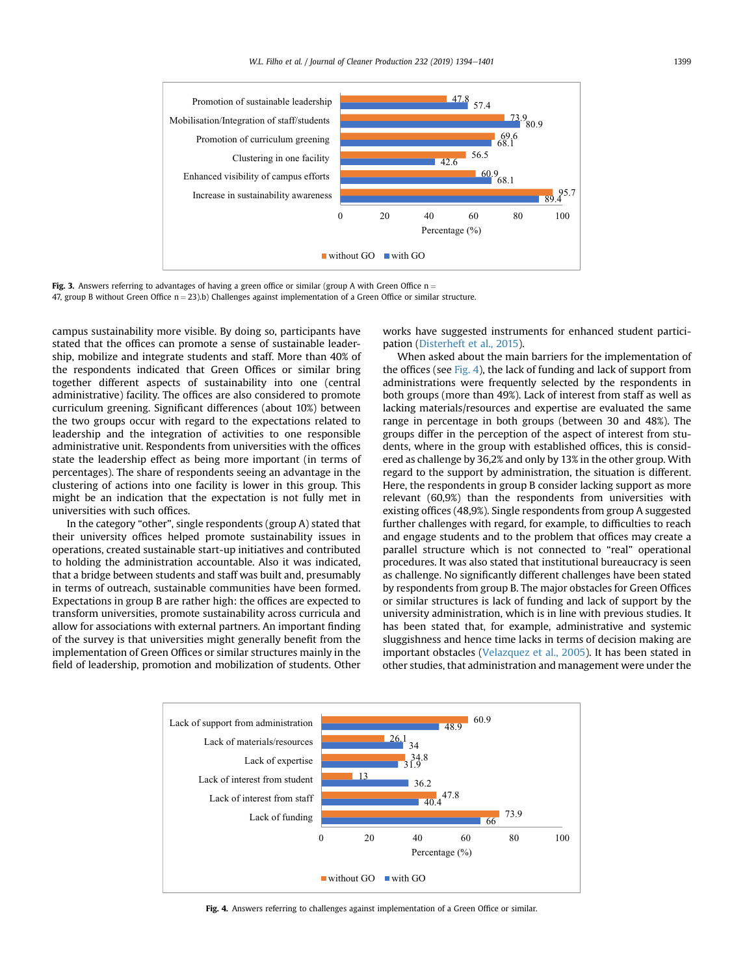<span id="page-5-0"></span>

Fig. 3. Answers referring to advantages of having a green office or similar (group A with Green Office  $n =$ 

47, group B without Green Office  $n = 23$ ).b) Challenges against implementation of a Green Office or similar structure.

campus sustainability more visible. By doing so, participants have stated that the offices can promote a sense of sustainable leadership, mobilize and integrate students and staff. More than 40% of the respondents indicated that Green Offices or similar bring together different aspects of sustainability into one (central administrative) facility. The offices are also considered to promote curriculum greening. Significant differences (about 10%) between the two groups occur with regard to the expectations related to leadership and the integration of activities to one responsible administrative unit. Respondents from universities with the offices state the leadership effect as being more important (in terms of percentages). The share of respondents seeing an advantage in the clustering of actions into one facility is lower in this group. This might be an indication that the expectation is not fully met in universities with such offices.

In the category "other", single respondents (group A) stated that their university offices helped promote sustainability issues in operations, created sustainable start-up initiatives and contributed to holding the administration accountable. Also it was indicated, that a bridge between students and staff was built and, presumably in terms of outreach, sustainable communities have been formed. Expectations in group B are rather high: the offices are expected to transform universities, promote sustainability across curricula and allow for associations with external partners. An important finding of the survey is that universities might generally benefit from the implementation of Green Offices or similar structures mainly in the field of leadership, promotion and mobilization of students. Other works have suggested instruments for enhanced student participation [\(Disterheft et al., 2015](#page-7-0)).

When asked about the main barriers for the implementation of the offices (see Fig. 4), the lack of funding and lack of support from administrations were frequently selected by the respondents in both groups (more than 49%). Lack of interest from staff as well as lacking materials/resources and expertise are evaluated the same range in percentage in both groups (between 30 and 48%). The groups differ in the perception of the aspect of interest from students, where in the group with established offices, this is considered as challenge by 36,2% and only by 13% in the other group. With regard to the support by administration, the situation is different. Here, the respondents in group B consider lacking support as more relevant (60,9%) than the respondents from universities with existing offices (48,9%). Single respondents from group A suggested further challenges with regard, for example, to difficulties to reach and engage students and to the problem that offices may create a parallel structure which is not connected to "real" operational procedures. It was also stated that institutional bureaucracy is seen as challenge. No significantly different challenges have been stated by respondents from group B. The major obstacles for Green Offices or similar structures is lack of funding and lack of support by the university administration, which is in line with previous studies. It has been stated that, for example, administrative and systemic sluggishness and hence time lacks in terms of decision making are important obstacles ([Velazquez et al., 2005\)](#page-7-0). It has been stated in other studies, that administration and management were under the



Fig. 4. Answers referring to challenges against implementation of a Green Office or similar.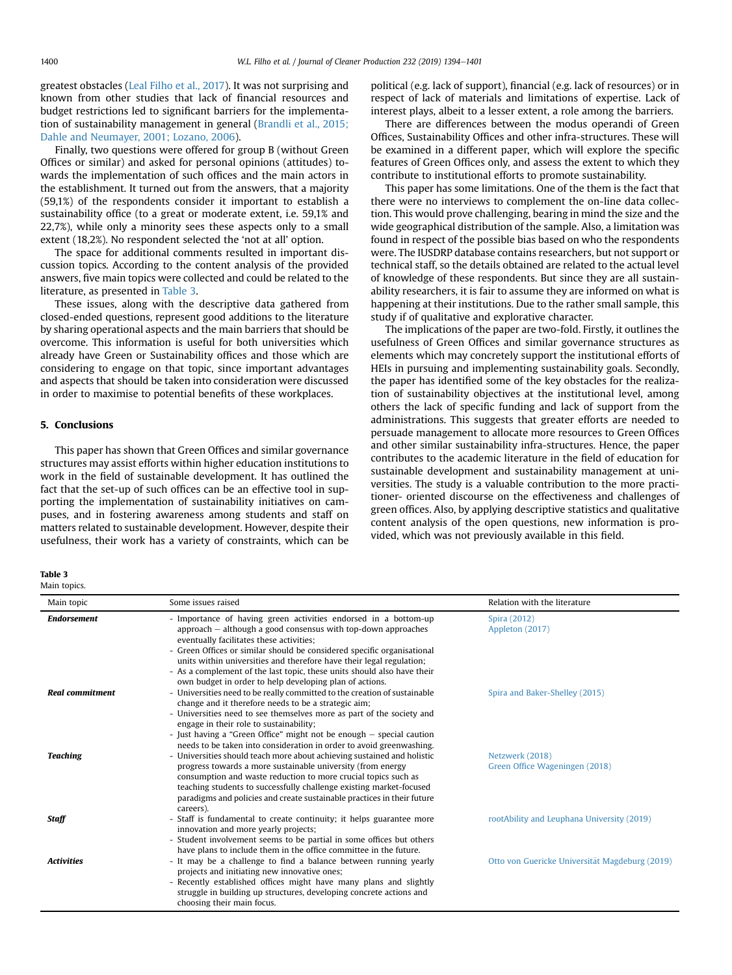greatest obstacles ([Leal Filho et al., 2017\)](#page-7-0). It was not surprising and known from other studies that lack of financial resources and budget restrictions led to significant barriers for the implementation of sustainability management in general ([Brandli et al., 2015;](#page-7-0) [Dahle and Neumayer, 2001; Lozano, 2006](#page-7-0)).

Finally, two questions were offered for group B (without Green Offices or similar) and asked for personal opinions (attitudes) towards the implementation of such offices and the main actors in the establishment. It turned out from the answers, that a majority (59,1%) of the respondents consider it important to establish a sustainability office (to a great or moderate extent, i.e. 59,1% and 22,7%), while only a minority sees these aspects only to a small extent (18,2%). No respondent selected the 'not at all' option.

The space for additional comments resulted in important discussion topics. According to the content analysis of the provided answers, five main topics were collected and could be related to the literature, as presented in Table 3.

These issues, along with the descriptive data gathered from closed-ended questions, represent good additions to the literature by sharing operational aspects and the main barriers that should be overcome. This information is useful for both universities which already have Green or Sustainability offices and those which are considering to engage on that topic, since important advantages and aspects that should be taken into consideration were discussed in order to maximise to potential benefits of these workplaces.

## 5. Conclusions

This paper has shown that Green Offices and similar governance structures may assist efforts within higher education institutions to work in the field of sustainable development. It has outlined the fact that the set-up of such offices can be an effective tool in supporting the implementation of sustainability initiatives on campuses, and in fostering awareness among students and staff on matters related to sustainable development. However, despite their usefulness, their work has a variety of constraints, which can be political (e.g. lack of support), financial (e.g. lack of resources) or in respect of lack of materials and limitations of expertise. Lack of interest plays, albeit to a lesser extent, a role among the barriers.

There are differences between the modus operandi of Green Offices, Sustainability Offices and other infra-structures. These will be examined in a different paper, which will explore the specific features of Green Offices only, and assess the extent to which they contribute to institutional efforts to promote sustainability.

This paper has some limitations. One of the them is the fact that there were no interviews to complement the on-line data collection. This would prove challenging, bearing in mind the size and the wide geographical distribution of the sample. Also, a limitation was found in respect of the possible bias based on who the respondents were. The IUSDRP database contains researchers, but not support or technical staff, so the details obtained are related to the actual level of knowledge of these respondents. But since they are all sustainability researchers, it is fair to assume they are informed on what is happening at their institutions. Due to the rather small sample, this study if of qualitative and explorative character.

The implications of the paper are two-fold. Firstly, it outlines the usefulness of Green Offices and similar governance structures as elements which may concretely support the institutional efforts of HEIs in pursuing and implementing sustainability goals. Secondly, the paper has identified some of the key obstacles for the realization of sustainability objectives at the institutional level, among others the lack of specific funding and lack of support from the administrations. This suggests that greater efforts are needed to persuade management to allocate more resources to Green Offices and other similar sustainability infra-structures. Hence, the paper contributes to the academic literature in the field of education for sustainable development and sustainability management at universities. The study is a valuable contribution to the more practitioner- oriented discourse on the effectiveness and challenges of green offices. Also, by applying descriptive statistics and qualitative content analysis of the open questions, new information is provided, which was not previously available in this field.

#### Table 3 Main topics.

| Main topic             | Some issues raised                                                                                                                                                                                                                                                                                                                                                                                                                                                      | Relation with the literature                      |
|------------------------|-------------------------------------------------------------------------------------------------------------------------------------------------------------------------------------------------------------------------------------------------------------------------------------------------------------------------------------------------------------------------------------------------------------------------------------------------------------------------|---------------------------------------------------|
| <b>Endorsement</b>     | - Importance of having green activities endorsed in a bottom-up<br>$approach$ – although a good consensus with top-down approaches<br>eventually facilitates these activities;<br>- Green Offices or similar should be considered specific organisational<br>units within universities and therefore have their legal regulation;<br>- As a complement of the last topic, these units should also have their<br>own budget in order to help developing plan of actions. | Spira (2012)<br>Appleton (2017)                   |
| <b>Real commitment</b> | - Universities need to be really committed to the creation of sustainable<br>change and it therefore needs to be a strategic aim;<br>- Universities need to see themselves more as part of the society and<br>engage in their role to sustainability;<br>- Just having a "Green Office" might not be enough - special caution<br>needs to be taken into consideration in order to avoid greenwashing.                                                                   | Spira and Baker-Shelley (2015)                    |
| <b>Teaching</b>        | - Universities should teach more about achieving sustained and holistic<br>progress towards a more sustainable university (from energy<br>consumption and waste reduction to more crucial topics such as<br>teaching students to successfully challenge existing market-focused<br>paradigms and policies and create sustainable practices in their future<br>careers).                                                                                                 | Netzwerk (2018)<br>Green Office Wageningen (2018) |
| Staff                  | - Staff is fundamental to create continuity; it helps guarantee more<br>innovation and more yearly projects;<br>- Student involvement seems to be partial in some offices but others<br>have plans to include them in the office committee in the future.                                                                                                                                                                                                               | rootAbility and Leuphana University (2019)        |
| <b>Activities</b>      | - It may be a challenge to find a balance between running yearly<br>projects and initiating new innovative ones;<br>- Recently established offices might have many plans and slightly<br>struggle in building up structures, developing concrete actions and<br>choosing their main focus.                                                                                                                                                                              | Otto von Guericke Universität Magdeburg (2019)    |